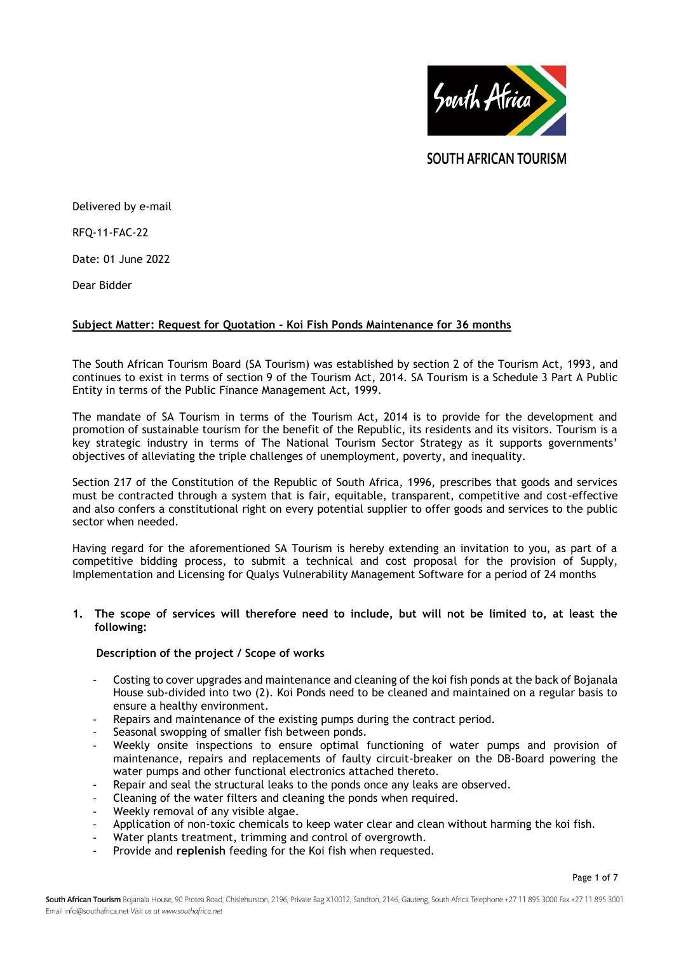

SOUTH AFRICAN TOURISM

Delivered by e-mail

RFQ-11-FAC-22

Date: 01 June 2022

Dear Bidder

## **Subject Matter: Request for Quotation - Koi Fish Ponds Maintenance for 36 months**

The South African Tourism Board (SA Tourism) was established by section 2 of the Tourism Act, 1993, and continues to exist in terms of section 9 of the Tourism Act, 2014. SA Tourism is a Schedule 3 Part A Public Entity in terms of the Public Finance Management Act, 1999.

The mandate of SA Tourism in terms of the Tourism Act, 2014 is to provide for the development and promotion of sustainable tourism for the benefit of the Republic, its residents and its visitors. Tourism is a key strategic industry in terms of The National Tourism Sector Strategy as it supports governments' objectives of alleviating the triple challenges of unemployment, poverty, and inequality.

Section 217 of the Constitution of the Republic of South Africa, 1996, prescribes that goods and services must be contracted through a system that is fair, equitable, transparent, competitive and cost-effective and also confers a constitutional right on every potential supplier to offer goods and services to the public sector when needed.

Having regard for the aforementioned SA Tourism is hereby extending an invitation to you, as part of a competitive bidding process, to submit a technical and cost proposal for the provision of Supply, Implementation and Licensing for Qualys Vulnerability Management Software for a period of 24 months

#### **1. The scope of services will therefore need to include, but will not be limited to, at least the following:**

#### **Description of the project / Scope of works**

- Costing to cover upgrades and maintenance and cleaning of the koi fish ponds at the back of Bojanala House sub-divided into two (2). Koi Ponds need to be cleaned and maintained on a regular basis to ensure a healthy environment.
- Repairs and maintenance of the existing pumps during the contract period.
- Seasonal swopping of smaller fish between ponds.
- Weekly onsite inspections to ensure optimal functioning of water pumps and provision of maintenance, repairs and replacements of faulty circuit-breaker on the DB-Board powering the water pumps and other functional electronics attached thereto.
- Repair and seal the structural leaks to the ponds once any leaks are observed.
- Cleaning of the water filters and cleaning the ponds when required.
- Weekly removal of any visible algae.
- Application of non-toxic chemicals to keep water clear and clean without harming the koi fish.
- Water plants treatment, trimming and control of overgrowth.
- Provide and **replenish** feeding for the Koi fish when requested.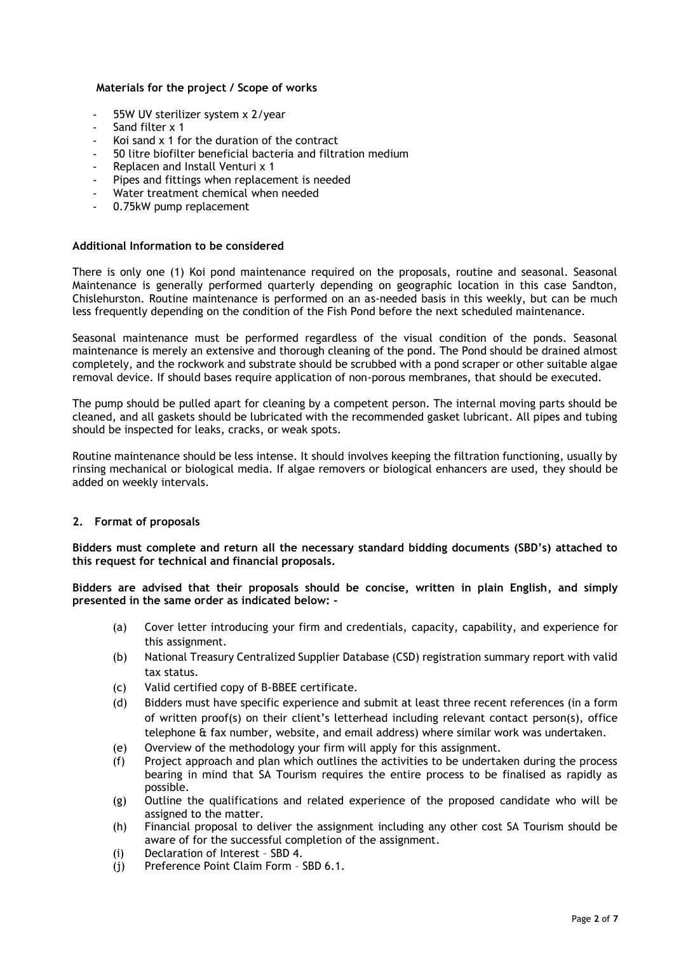#### **Materials for the project / Scope of works**

- 55W UV sterilizer system x 2/year
- Sand filter x 1
- Koi sand x 1 for the duration of the contract
- 50 litre biofilter beneficial bacteria and filtration medium
- Replacen and Install Venturi x 1
- Pipes and fittings when replacement is needed
- Water treatment chemical when needed
- 0.75kW pump replacement

#### **Additional Information to be considered**

There is only one (1) Koi pond maintenance required on the proposals, routine and seasonal. Seasonal Maintenance is generally performed quarterly depending on geographic location in this case Sandton, Chislehurston. Routine maintenance is performed on an as-needed basis in this weekly, but can be much less frequently depending on the condition of the Fish Pond before the next scheduled maintenance.

Seasonal maintenance must be performed regardless of the visual condition of the ponds. Seasonal maintenance is merely an extensive and thorough cleaning of the pond. The Pond should be drained almost completely, and the rockwork and substrate should be scrubbed with a pond scraper or other suitable algae removal device. If should bases require application of non-porous membranes, that should be executed.

The pump should be pulled apart for cleaning by a competent person. The internal moving parts should be cleaned, and all gaskets should be lubricated with the recommended gasket lubricant. All pipes and tubing should be inspected for leaks, cracks, or weak spots.

Routine maintenance should be less intense. It should involves keeping the filtration functioning, usually by rinsing mechanical or biological media. If algae removers or biological enhancers are used, they should be added on weekly intervals.

#### **2. Format of proposals**

**Bidders must complete and return all the necessary standard bidding documents (SBD's) attached to this request for technical and financial proposals.**

**Bidders are advised that their proposals should be concise, written in plain English, and simply presented in the same order as indicated below: -**

- (a) Cover letter introducing your firm and credentials, capacity, capability, and experience for this assignment.
- (b) National Treasury Centralized Supplier Database (CSD) registration summary report with valid tax status.
- (c) Valid certified copy of B-BBEE certificate.
- (d) Bidders must have specific experience and submit at least three recent references (in a form of written proof(s) on their client's letterhead including relevant contact person(s), office telephone & fax number, website, and email address) where similar work was undertaken.
- (e) Overview of the methodology your firm will apply for this assignment.
- (f) Project approach and plan which outlines the activities to be undertaken during the process bearing in mind that SA Tourism requires the entire process to be finalised as rapidly as possible.
- (g) Outline the qualifications and related experience of the proposed candidate who will be assigned to the matter.
- (h) Financial proposal to deliver the assignment including any other cost SA Tourism should be aware of for the successful completion of the assignment.
- (i) Declaration of Interest SBD 4.
- (j) Preference Point Claim Form SBD 6.1.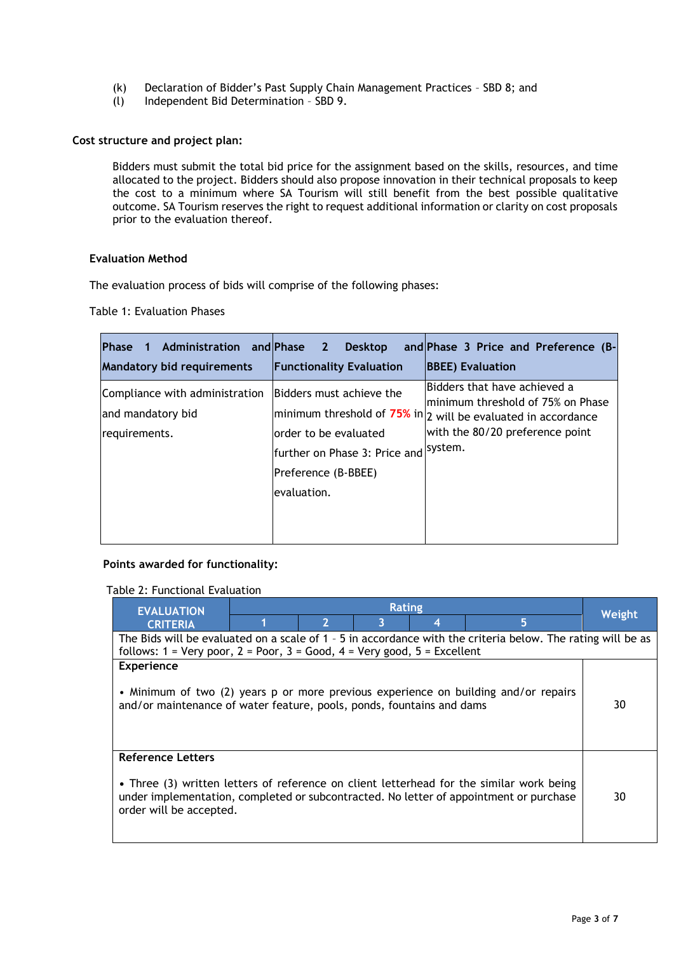- (k) Declaration of Bidder's Past Supply Chain Management Practices SBD 8; and
- (l) Independent Bid Determination SBD 9.

## **Cost structure and project plan:**

Bidders must submit the total bid price for the assignment based on the skills, resources, and time allocated to the project. Bidders should also propose innovation in their technical proposals to keep the cost to a minimum where SA Tourism will still benefit from the best possible qualitative outcome. SA Tourism reserves the right to request additional information or clarity on cost proposals prior to the evaluation thereof.

#### **Evaluation Method**

The evaluation process of bids will comprise of the following phases:

Table 1: Evaluation Phases

| Phase 1                                                              | Administration and Phase 2 Desktop                                                                                                | and Phase 3 Price and Preference (B-                                                                                                                                             |
|----------------------------------------------------------------------|-----------------------------------------------------------------------------------------------------------------------------------|----------------------------------------------------------------------------------------------------------------------------------------------------------------------------------|
| <b>Mandatory bid requirements</b>                                    | <b>Functionality Evaluation</b>                                                                                                   | <b>BBEE</b> ) Evaluation                                                                                                                                                         |
| Compliance with administration<br>and mandatory bid<br>requirements. | Bidders must achieve the<br>order to be evaluated<br>further on Phase 3: Price and system.<br>Preference (B-BBEE)<br>levaluation. | Bidders that have achieved a<br>minimum threshold of 75% on Phase<br>$ $ minimum threshold of $75\%$ in $ _2$ will be evaluated in accordance<br>with the 80/20 preference point |
|                                                                      |                                                                                                                                   |                                                                                                                                                                                  |

#### **Points awarded for functionality:**

|  | Table 2: Functional Evaluation |
|--|--------------------------------|
|--|--------------------------------|

| <b>EVALUATION</b>                                                                                                                                                                       | Rating |   |   |   |                                                                                                                                                                                    |        |
|-----------------------------------------------------------------------------------------------------------------------------------------------------------------------------------------|--------|---|---|---|------------------------------------------------------------------------------------------------------------------------------------------------------------------------------------|--------|
| <b>CRITERIA</b>                                                                                                                                                                         |        | 2 | 3 | 4 | 5                                                                                                                                                                                  | Weight |
| The Bids will be evaluated on a scale of 1 - 5 in accordance with the criteria below. The rating will be as                                                                             |        |   |   |   |                                                                                                                                                                                    |        |
| follows: $1 = \text{Very poor}, 2 = \text{Poor}, 3 = \text{Good}, 4 = \text{Very good}, 5 = \text{Excellent}$                                                                           |        |   |   |   |                                                                                                                                                                                    |        |
| <b>Experience</b><br>• Minimum of two (2) years p or more previous experience on building and/or repairs<br>30<br>and/or maintenance of water feature, pools, ponds, fountains and dams |        |   |   |   |                                                                                                                                                                                    |        |
| Reference Letters<br>order will be accepted.                                                                                                                                            |        |   |   |   | • Three (3) written letters of reference on client letterhead for the similar work being<br>under implementation, completed or subcontracted. No letter of appointment or purchase | 30     |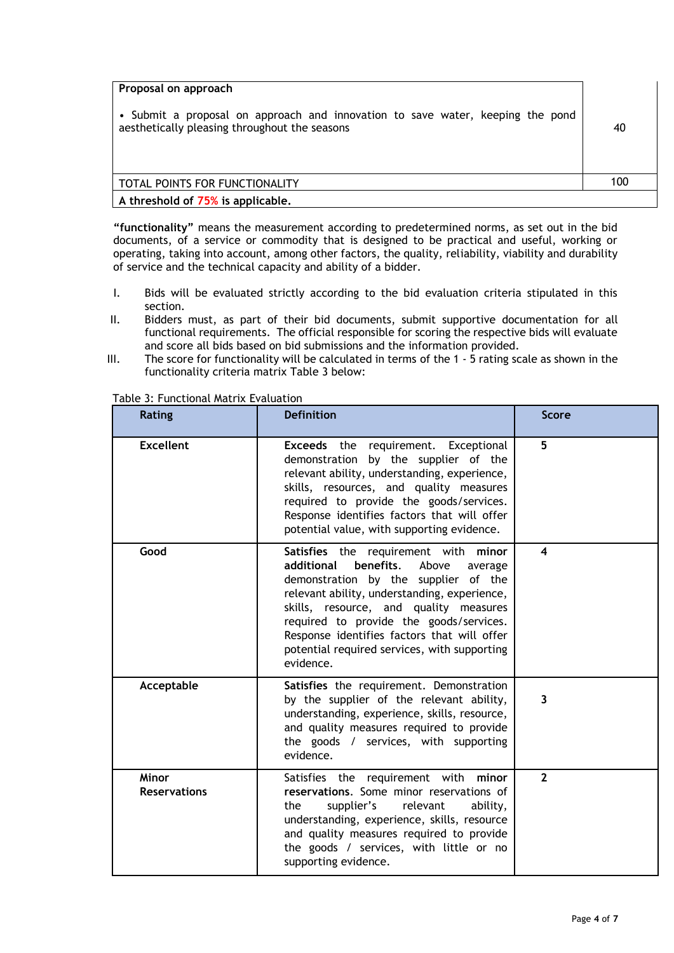| Proposal on approach                                                                                                            |     |
|---------------------------------------------------------------------------------------------------------------------------------|-----|
| • Submit a proposal on approach and innovation to save water, keeping the pond<br>aesthetically pleasing throughout the seasons | 40  |
| TOTAL POINTS FOR FUNCTIONALITY                                                                                                  | 100 |
| A threshold of 75% is applicable.                                                                                               |     |

**"functionality"** means the measurement according to predetermined norms, as set out in the bid documents, of a service or commodity that is designed to be practical and useful, working or operating, taking into account, among other factors, the quality, reliability, viability and durability of service and the technical capacity and ability of a bidder.

- I. Bids will be evaluated strictly according to the bid evaluation criteria stipulated in this section.
- II. Bidders must, as part of their bid documents, submit supportive documentation for all functional requirements. The official responsible for scoring the respective bids will evaluate and score all bids based on bid submissions and the information provided.
- III. The score for functionality will be calculated in terms of the 1 5 rating scale as shown in the functionality criteria matrix Table 3 below:

| <b>Rating</b>                       | <b>Definition</b>                                                                                                                                                                                                                                                                                                                                                            | <b>Score</b>            |
|-------------------------------------|------------------------------------------------------------------------------------------------------------------------------------------------------------------------------------------------------------------------------------------------------------------------------------------------------------------------------------------------------------------------------|-------------------------|
| <b>Excellent</b>                    | <b>Exceeds</b> the requirement. Exceptional<br>demonstration by the supplier of the<br>relevant ability, understanding, experience,<br>skills, resources, and quality measures<br>required to provide the goods/services.<br>Response identifies factors that will offer<br>potential value, with supporting evidence.                                                       | 5                       |
| Good                                | Satisfies the requirement with minor<br>benefits.<br>additional<br>Above<br>average<br>demonstration by the supplier of the<br>relevant ability, understanding, experience,<br>skills, resource, and quality measures<br>required to provide the goods/services.<br>Response identifies factors that will offer<br>potential required services, with supporting<br>evidence. | $\overline{\mathbf{4}}$ |
| Acceptable                          | Satisfies the requirement. Demonstration<br>by the supplier of the relevant ability,<br>understanding, experience, skills, resource,<br>and quality measures required to provide<br>the goods / services, with supporting<br>evidence.                                                                                                                                       | 3                       |
| <b>Minor</b><br><b>Reservations</b> | Satisfies the requirement with minor<br>reservations. Some minor reservations of<br>supplier's<br>relevant<br>the<br>ability,<br>understanding, experience, skills, resource<br>and quality measures required to provide<br>the goods / services, with little or no<br>supporting evidence.                                                                                  | $\overline{2}$          |

Table 3: Functional Matrix Evaluation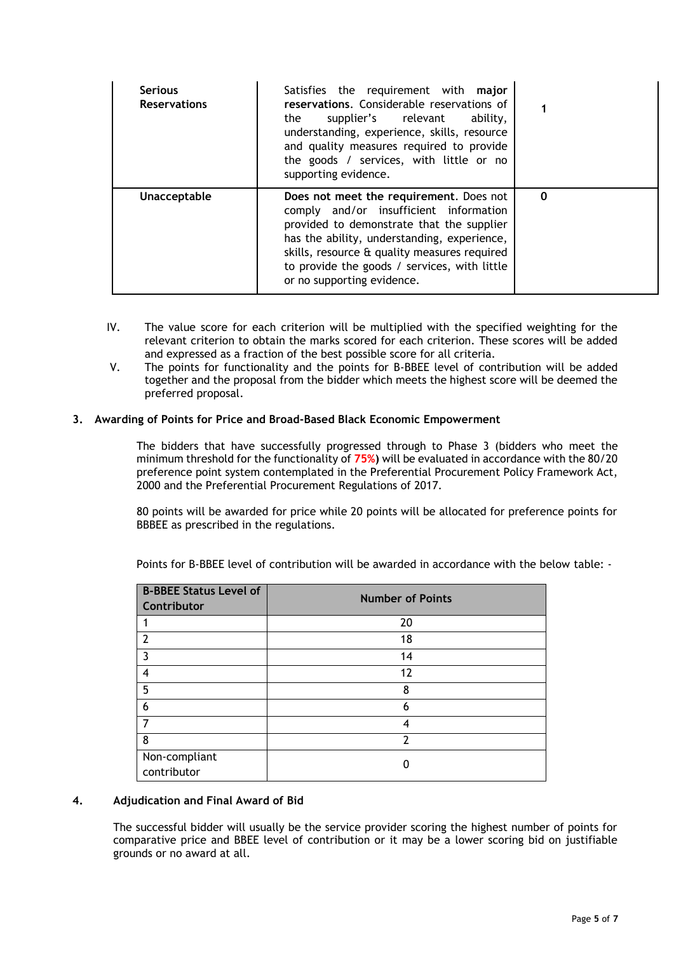| <b>Serious</b><br><b>Reservations</b> | Satisfies the requirement with major<br>reservations. Considerable reservations of<br>supplier's relevant<br>the<br>ability,<br>understanding, experience, skills, resource<br>and quality measures required to provide<br>the goods / services, with little or no<br>supporting evidence.                  |          |
|---------------------------------------|-------------------------------------------------------------------------------------------------------------------------------------------------------------------------------------------------------------------------------------------------------------------------------------------------------------|----------|
| Unacceptable                          | Does not meet the requirement. Does not<br>comply and/or insufficient information<br>provided to demonstrate that the supplier<br>has the ability, understanding, experience,<br>skills, resource & quality measures required<br>to provide the goods / services, with little<br>or no supporting evidence. | $\Omega$ |

- IV. The value score for each criterion will be multiplied with the specified weighting for the relevant criterion to obtain the marks scored for each criterion. These scores will be added and expressed as a fraction of the best possible score for all criteria.
- V. The points for functionality and the points for B-BBEE level of contribution will be added together and the proposal from the bidder which meets the highest score will be deemed the preferred proposal.

# **3. Awarding of Points for Price and Broad-Based Black Economic Empowerment**

The bidders that have successfully progressed through to Phase 3 (bidders who meet the minimum threshold for the functionality of **75%)** will be evaluated in accordance with the 80/20 preference point system contemplated in the Preferential Procurement Policy Framework Act, 2000 and the Preferential Procurement Regulations of 2017.

80 points will be awarded for price while 20 points will be allocated for preference points for BBBEE as prescribed in the regulations.

| <b>B-BBEE Status Level of</b><br>Contributor | <b>Number of Points</b>  |
|----------------------------------------------|--------------------------|
|                                              | 20                       |
| $\overline{\phantom{a}}$                     | 18                       |
| 3                                            | 14                       |
| 4                                            | 12                       |
| 5                                            | 8                        |
| 6                                            | 6                        |
|                                              | 4                        |
| 8                                            | $\overline{\phantom{a}}$ |
| Non-compliant<br>contributor                 |                          |

Points for B-BBEE level of contribution will be awarded in accordance with the below table: -

# **4. Adjudication and Final Award of Bid**

The successful bidder will usually be the service provider scoring the highest number of points for comparative price and BBEE level of contribution or it may be a lower scoring bid on justifiable grounds or no award at all.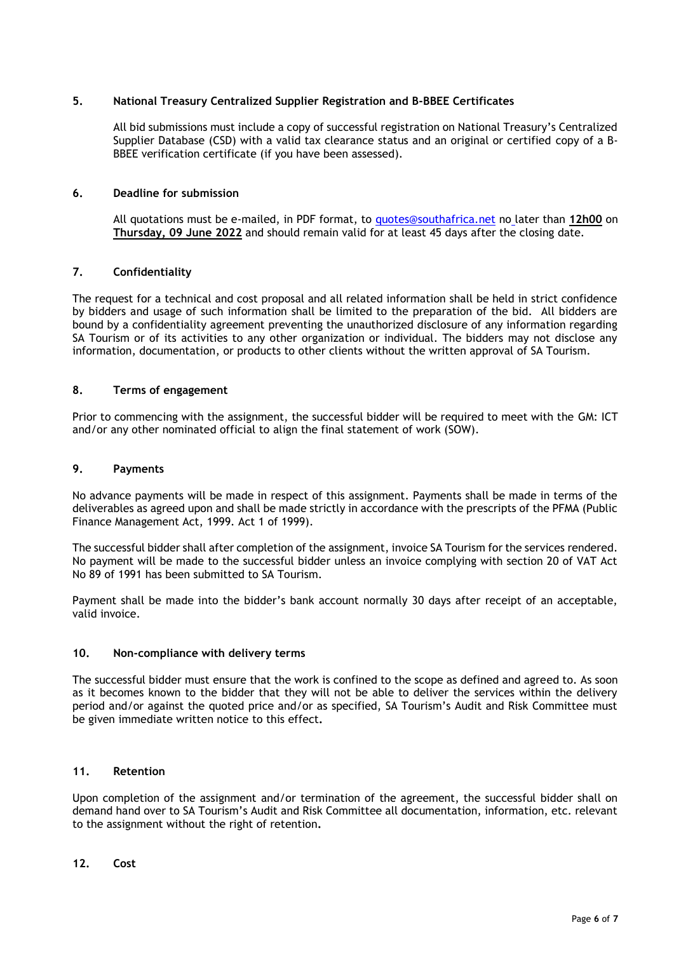## **5. National Treasury Centralized Supplier Registration and B-BBEE Certificates**

All bid submissions must include a copy of successful registration on National Treasury's Centralized Supplier Database (CSD) with a valid tax clearance status and an original or certified copy of a B-BBEE verification certificate (if you have been assessed).

## **6. Deadline for submission**

All quotations must be e-mailed, in PDF format, to [quotes@southafrica.net](mailto:quotes@southafrica.net) no later than **12h00** on **Thursday, 09 June 2022** and should remain valid for at least 45 days after the closing date.

# **7. Confidentiality**

The request for a technical and cost proposal and all related information shall be held in strict confidence by bidders and usage of such information shall be limited to the preparation of the bid. All bidders are bound by a confidentiality agreement preventing the unauthorized disclosure of any information regarding SA Tourism or of its activities to any other organization or individual. The bidders may not disclose any information, documentation, or products to other clients without the written approval of SA Tourism.

# **8. Terms of engagement**

Prior to commencing with the assignment, the successful bidder will be required to meet with the GM: ICT and/or any other nominated official to align the final statement of work (SOW).

## **9. Payments**

No advance payments will be made in respect of this assignment. Payments shall be made in terms of the deliverables as agreed upon and shall be made strictly in accordance with the prescripts of the PFMA (Public Finance Management Act, 1999. Act 1 of 1999).

The successful bidder shall after completion of the assignment, invoice SA Tourism for the services rendered. No payment will be made to the successful bidder unless an invoice complying with section 20 of VAT Act No 89 of 1991 has been submitted to SA Tourism.

Payment shall be made into the bidder's bank account normally 30 days after receipt of an acceptable, valid invoice.

## **10. Non-compliance with delivery terms**

The successful bidder must ensure that the work is confined to the scope as defined and agreed to. As soon as it becomes known to the bidder that they will not be able to deliver the services within the delivery period and/or against the quoted price and/or as specified, SA Tourism's Audit and Risk Committee must be given immediate written notice to this effect**.** 

## **11. Retention**

Upon completion of the assignment and/or termination of the agreement, the successful bidder shall on demand hand over to SA Tourism's Audit and Risk Committee all documentation, information, etc. relevant to the assignment without the right of retention**.**

## **12. Cost**